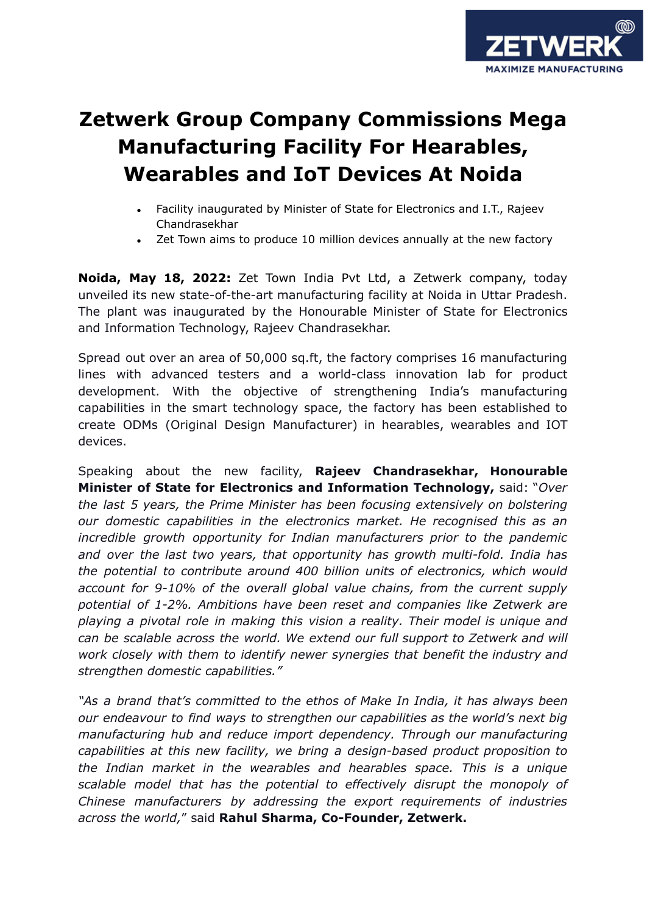

## **Zetwerk Group Company Commissions Mega Manufacturing Facility For Hearables, Wearables and IoT Devices At Noida**

- Facility inaugurated by Minister of State for Electronics and I.T., Rajeev Chandrasekhar
- Zet Town aims to produce 10 million devices annually at the new factory

**Noida, May 18, 2022:** Zet Town India Pvt Ltd, a Zetwerk company, today unveiled its new state-of-the-art manufacturing facility at Noida in Uttar Pradesh. The plant was inaugurated by the Honourable Minister of State for Electronics and Information Technology, Rajeev Chandrasekhar.

Spread out over an area of 50,000 sq.ft, the factory comprises 16 manufacturing lines with advanced testers and a world-class innovation lab for product development. With the objective of strengthening India's manufacturing capabilities in the smart technology space, the factory has been established to create ODMs (Original Design Manufacturer) in hearables, wearables and IOT devices.

Speaking about the new facility, **Rajeev Chandrasekhar, Honourable Minister of State for Electronics and Information Technology,** said: "*Over the last 5 years, the Prime Minister has been focusing extensively on bolstering our domestic capabilities in the electronics market. He recognised this as an incredible growth opportunity for Indian manufacturers prior to the pandemic and over the last two years, that opportunity has growth multi-fold. India has the potential to contribute around 400 billion units of electronics, which would account for 9-10% of the overall global value chains, from the current supply potential of 1-2%. Ambitions have been reset and companies like Zetwerk are playing a pivotal role in making this vision a reality. Their model is unique and can be scalable across the world. We extend our full support to Zetwerk and will work closely with them to identify newer synergies that benefit the industry and strengthen domestic capabilities."*

*"As a brand that's committed to the ethos of Make In India, it has always been our endeavour to find ways to strengthen our capabilities as the world's next big manufacturing hub and reduce import dependency. Through our manufacturing capabilities at this new facility, we bring a design-based product proposition to the Indian market in the wearables and hearables space. This is a unique scalable model that has the potential to effectively disrupt the monopoly of Chinese manufacturers by addressing the export requirements of industries across the world,*" said **Rahul Sharma, Co-Founder, Zetwerk.**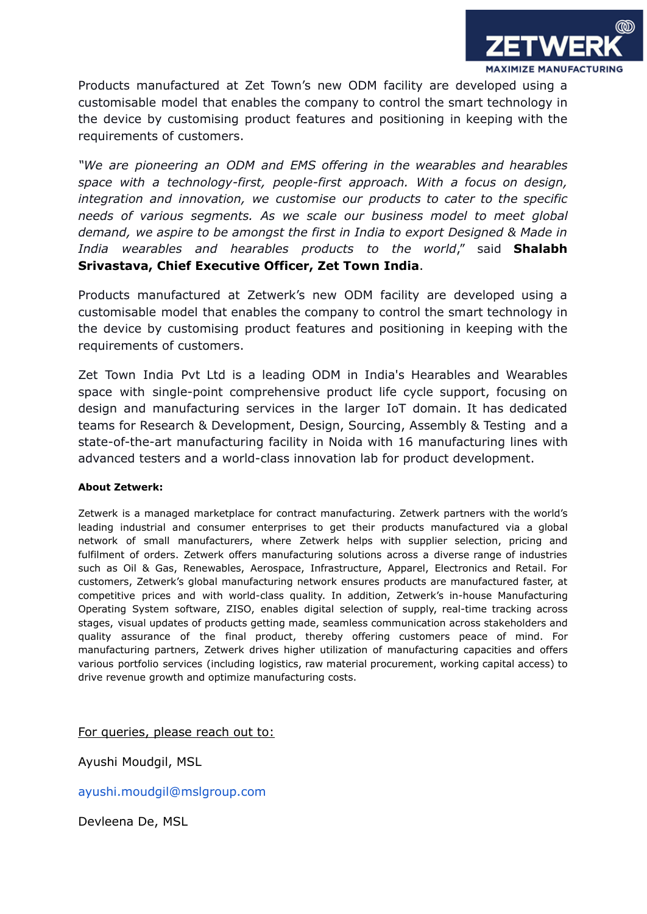

Products manufactured at Zet Town's new ODM facility are developed using a customisable model that enables the company to control the smart technology in the device by customising product features and positioning in keeping with the requirements of customers.

*"We are pioneering an ODM and EMS offering in the wearables and hearables space with a technology-first, people-first approach. With a focus on design, integration and innovation, we customise our products to cater to the specific needs of various segments. As we scale our business model to meet global demand, we aspire to be amongst the first in India to export Designed & Made in India wearables and hearables products to the world*," said **Shalabh Srivastava, Chief Executive Officer, Zet Town India**.

Products manufactured at Zetwerk's new ODM facility are developed using a customisable model that enables the company to control the smart technology in the device by customising product features and positioning in keeping with the requirements of customers.

Zet Town India Pvt Ltd is a leading ODM in India's Hearables and Wearables space with single-point comprehensive product life cycle support, focusing on design and manufacturing services in the larger IoT domain. It has dedicated teams for Research & Development, Design, Sourcing, Assembly & Testing and a state-of-the-art manufacturing facility in Noida with 16 manufacturing lines with advanced testers and a world-class innovation lab for product development.

## **About Zetwerk:**

Zetwerk is a managed marketplace for contract manufacturing. Zetwerk partners with the world's leading industrial and consumer enterprises to get their products manufactured via a global network of small manufacturers, where Zetwerk helps with supplier selection, pricing and fulfilment of orders. Zetwerk offers manufacturing solutions across a diverse range of industries such as Oil & Gas, Renewables, Aerospace, Infrastructure, Apparel, Electronics and Retail. For customers, Zetwerk's global manufacturing network ensures products are manufactured faster, at competitive prices and with world-class quality. In addition, Zetwerk's in-house Manufacturing Operating System software, ZISO, enables digital selection of supply, real-time tracking across stages, visual updates of products getting made, seamless communication across stakeholders and quality assurance of the final product, thereby offering customers peace of mind. For manufacturing partners, Zetwerk drives higher utilization of manufacturing capacities and offers various portfolio services (including logistics, raw material procurement, working capital access) to drive revenue growth and optimize manufacturing costs.

For queries, please reach out to:

Ayushi Moudgil, MSL

ayushi.moudgil@mslgroup.com

Devleena De, MSL